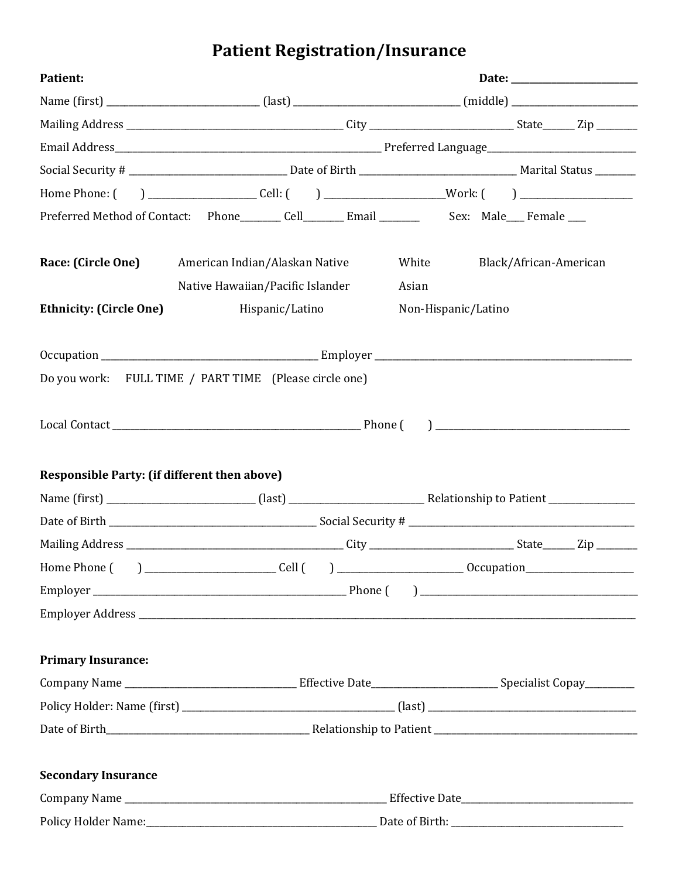# **Patient Registration/Insurance**

| <b>Patient:</b>                              |                                                                                                            |                                                                                                                |  |  |
|----------------------------------------------|------------------------------------------------------------------------------------------------------------|----------------------------------------------------------------------------------------------------------------|--|--|
|                                              |                                                                                                            | Name (first) ____________________________(last) _______________________________(middle) ______________________ |  |  |
|                                              |                                                                                                            |                                                                                                                |  |  |
|                                              |                                                                                                            |                                                                                                                |  |  |
|                                              |                                                                                                            |                                                                                                                |  |  |
|                                              |                                                                                                            |                                                                                                                |  |  |
|                                              | Preferred Method of Contact: Phone_________ Cell__________ Email _______________ Sex: Male____ Female ____ |                                                                                                                |  |  |
| Race: (Circle One)                           | American Indian/Alaskan Native<br>Native Hawaiian/Pacific Islander                                         | White<br>Black/African-American<br>Asian                                                                       |  |  |
| <b>Ethnicity: (Circle One)</b>               | Hispanic/Latino                                                                                            | Non-Hispanic/Latino                                                                                            |  |  |
|                                              |                                                                                                            |                                                                                                                |  |  |
|                                              | Do you work: FULL TIME / PART TIME (Please circle one)                                                     |                                                                                                                |  |  |
|                                              |                                                                                                            |                                                                                                                |  |  |
| Responsible Party: (if different then above) |                                                                                                            |                                                                                                                |  |  |
|                                              |                                                                                                            |                                                                                                                |  |  |
|                                              |                                                                                                            |                                                                                                                |  |  |
|                                              |                                                                                                            |                                                                                                                |  |  |
|                                              |                                                                                                            |                                                                                                                |  |  |
|                                              |                                                                                                            |                                                                                                                |  |  |
|                                              |                                                                                                            |                                                                                                                |  |  |
| <b>Primary Insurance:</b>                    |                                                                                                            |                                                                                                                |  |  |
|                                              |                                                                                                            |                                                                                                                |  |  |
|                                              |                                                                                                            |                                                                                                                |  |  |
|                                              |                                                                                                            |                                                                                                                |  |  |
|                                              |                                                                                                            |                                                                                                                |  |  |
| <b>Secondary Insurance</b>                   |                                                                                                            |                                                                                                                |  |  |
|                                              |                                                                                                            |                                                                                                                |  |  |
|                                              |                                                                                                            |                                                                                                                |  |  |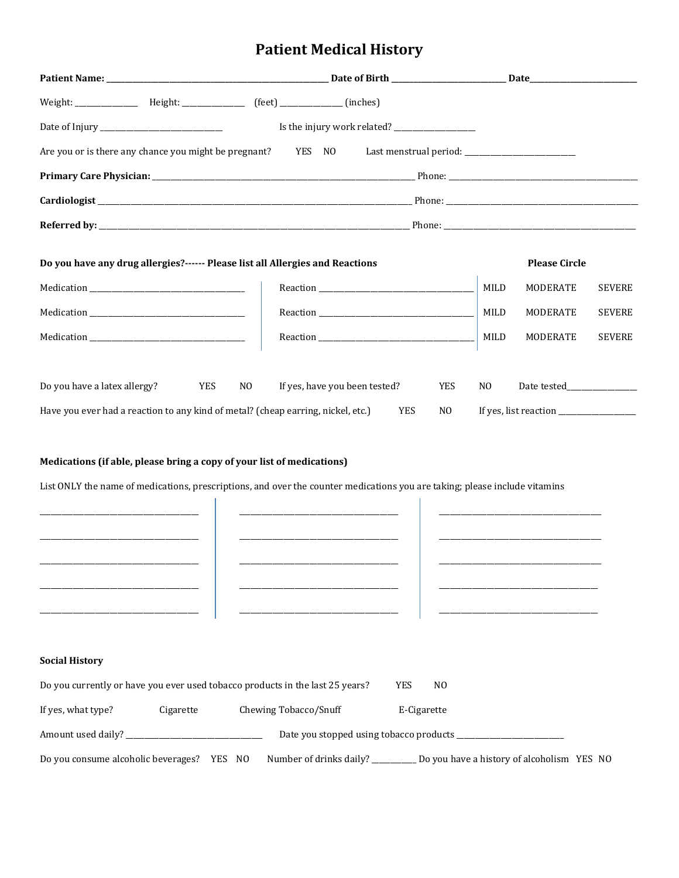## **Patient Medical History**

| Weight: _________________ Height: ______________ (feet) _____________ (inches)                                 |                  |  |                               |            |                |                       |               |
|----------------------------------------------------------------------------------------------------------------|------------------|--|-------------------------------|------------|----------------|-----------------------|---------------|
|                                                                                                                |                  |  |                               |            |                |                       |               |
| Are you or is there any chance you might be pregnant? YES NO Last menstrual period: __________________________ |                  |  |                               |            |                |                       |               |
|                                                                                                                |                  |  |                               |            |                |                       |               |
|                                                                                                                |                  |  |                               |            |                |                       |               |
|                                                                                                                |                  |  |                               |            |                |                       |               |
| Do you have any drug allergies?------ Please list all Allergies and Reactions                                  |                  |  |                               |            |                | <b>Please Circle</b>  |               |
|                                                                                                                |                  |  |                               |            | MILD           | MODERATE              | <b>SEVERE</b> |
| Medication                                                                                                     |                  |  |                               |            | MILD           | MODERATE              | <b>SEVERE</b> |
| Medication                                                                                                     |                  |  |                               |            | MILD           | MODERATE              | <b>SEVERE</b> |
|                                                                                                                |                  |  |                               |            |                |                       |               |
| Do you have a latex allergy?                                                                                   | <b>YES</b><br>NO |  | If yes, have you been tested? | <b>YES</b> | N <sub>O</sub> |                       |               |
| Have you ever had a reaction to any kind of metal? (cheap earring, nickel, etc.)                               |                  |  | <b>YES</b>                    | NO.        |                | If yes, list reaction |               |

### **Medications (if able, please bring a copy of your list of medications)**

List ONLY the name of medications, prescriptions, and over the counter medications you are taking; please include vitamins

| <b>Social History</b>                                                         |                                                                                  |
|-------------------------------------------------------------------------------|----------------------------------------------------------------------------------|
| Do you currently or have you ever used tobacco products in the last 25 years? | YES<br>N <sub>0</sub>                                                            |
| If yes, what type? Cigarette Chewing Tobacco/Snuff                            | E-Cigarette                                                                      |
|                                                                               |                                                                                  |
| Do you consume alcoholic beverages? YES NO                                    | Number of drinks daily? _____________ Do you have a history of alcoholism YES NO |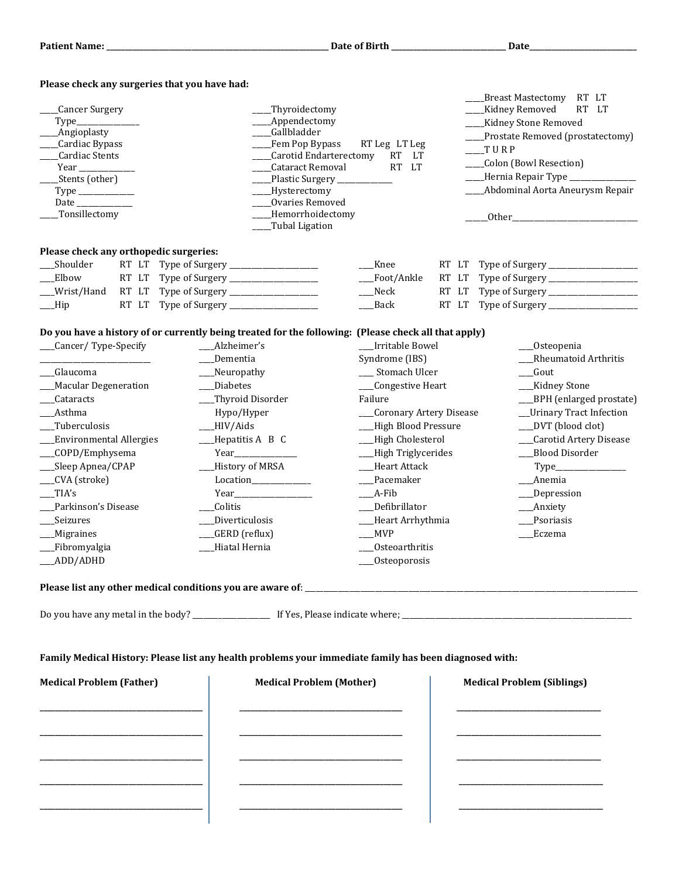| Please check any surgeries that you have had:                                                                               |                                                                                                                                                   |                           |                            |                                                                                                                                                                                                                                     |  |  |
|-----------------------------------------------------------------------------------------------------------------------------|---------------------------------------------------------------------------------------------------------------------------------------------------|---------------------------|----------------------------|-------------------------------------------------------------------------------------------------------------------------------------------------------------------------------------------------------------------------------------|--|--|
|                                                                                                                             |                                                                                                                                                   |                           |                            | Breast Mastectomy RT LT                                                                                                                                                                                                             |  |  |
| Cancer Surgery                                                                                                              | _Thyroidectomy<br>Appendectomy                                                                                                                    |                           | Kidney Removed<br>RT<br>LT |                                                                                                                                                                                                                                     |  |  |
|                                                                                                                             | <b>Angioplasty</b><br><b>Gallbladder</b><br>Cardiac Bypass<br>Fem Pop Bypass<br>RT Leg LT Leg<br>Carotid Endarterectomy<br><b>RT</b><br><b>LT</b> |                           |                            | <b>Kidney Stone Removed</b><br>Prostate Removed (prostatectomy)<br>$_T$ URP                                                                                                                                                         |  |  |
|                                                                                                                             |                                                                                                                                                   |                           |                            |                                                                                                                                                                                                                                     |  |  |
| Cardiac Stents                                                                                                              |                                                                                                                                                   |                           |                            |                                                                                                                                                                                                                                     |  |  |
|                                                                                                                             | Cataract Removal                                                                                                                                  | <b>RT</b><br>LT           |                            | _Colon (Bowl Resection)                                                                                                                                                                                                             |  |  |
| Stents (other)                                                                                                              | Plastic Surgery                                                                                                                                   |                           |                            | Hernia Repair Type ___________                                                                                                                                                                                                      |  |  |
| $\textit{Type} \_\_$                                                                                                        | ___Hysterectomy                                                                                                                                   |                           |                            | Abdominal Aorta Aneurysm Repair                                                                                                                                                                                                     |  |  |
| Date                                                                                                                        | Ovaries Removed                                                                                                                                   |                           |                            |                                                                                                                                                                                                                                     |  |  |
| Tonsillectomy                                                                                                               | _Hemorrhoidectomy<br>Tubal Ligation                                                                                                               |                           |                            | <b>Other</b> contracts to the contract of the contract of the contract of the contract of the contract of the contract of the contract of the contract of the contract of the contract of the contract of the contract of the contr |  |  |
| Please check any orthopedic surgeries:                                                                                      |                                                                                                                                                   |                           |                            |                                                                                                                                                                                                                                     |  |  |
| Shoulder                                                                                                                    |                                                                                                                                                   | __Knee                    | RT LT                      |                                                                                                                                                                                                                                     |  |  |
| Elbow<br>RT LT                                                                                                              |                                                                                                                                                   | Foot/Ankle                | RT LT                      |                                                                                                                                                                                                                                     |  |  |
| __Wrist/Hand<br>RT LT                                                                                                       | Type of Surgery ____________________                                                                                                              | $\_\_$ Neck               | RT LT                      |                                                                                                                                                                                                                                     |  |  |
| RT LT<br>$\_\$ {Hip}                                                                                                        | Type of Surgery __________________                                                                                                                | Back                      | RT LT                      |                                                                                                                                                                                                                                     |  |  |
|                                                                                                                             |                                                                                                                                                   |                           |                            |                                                                                                                                                                                                                                     |  |  |
| Do you have a history of or currently being treated for the following: (Please check all that apply)<br>Cancer/Type-Specify | Alzheimer's                                                                                                                                       | Irritable Bowel           |                            | _Osteopenia                                                                                                                                                                                                                         |  |  |
|                                                                                                                             | Dementia                                                                                                                                          |                           |                            | Rheumatoid Arthritis                                                                                                                                                                                                                |  |  |
|                                                                                                                             |                                                                                                                                                   | Syndrome (IBS)            |                            |                                                                                                                                                                                                                                     |  |  |
| <b>Glaucoma</b>                                                                                                             | $M$ europathy                                                                                                                                     | __ Stomach Ulcer          |                            | _Gout                                                                                                                                                                                                                               |  |  |
| _Macular Degeneration                                                                                                       | __Diabetes                                                                                                                                        | __Congestive Heart        |                            | __Kidney Stone                                                                                                                                                                                                                      |  |  |
| Cataracts                                                                                                                   | __Thyroid Disorder                                                                                                                                | Failure                   |                            | __BPH (enlarged prostate)                                                                                                                                                                                                           |  |  |
| Asthma                                                                                                                      | Hypo/Hyper                                                                                                                                        | __Coronary Artery Disease |                            | _Urinary Tract Infection                                                                                                                                                                                                            |  |  |
| __Tuberculosis                                                                                                              | $\underline{\hspace{1cm}}$ HIV/Aids                                                                                                               | __High Blood Pressure     |                            | __DVT (blood clot)                                                                                                                                                                                                                  |  |  |
| __Environmental Allergies                                                                                                   | $_H$ Pepatitis A B C                                                                                                                              | __High Cholesterol        |                            | __Carotid Artery Disease                                                                                                                                                                                                            |  |  |
| __COPD/Emphysema                                                                                                            |                                                                                                                                                   | __High Triglycerides      |                            | __Blood Disorder                                                                                                                                                                                                                    |  |  |
| __Sleep Apnea/CPAP                                                                                                          | _History of MRSA                                                                                                                                  |                           | __Heart Attack             |                                                                                                                                                                                                                                     |  |  |
| __CVA (stroke)                                                                                                              | Location____________                                                                                                                              | __Pacemaker               |                            | __Anemia                                                                                                                                                                                                                            |  |  |
| TIA's                                                                                                                       | Year Manual Manual Manual Manual Manual Manual Manual Manual Manual Manual Manual Manual Manual Manual Manual                                     | $A-Fib$                   |                            | __Depression                                                                                                                                                                                                                        |  |  |
| Parkinson's Disease                                                                                                         | Colitis                                                                                                                                           | _Defibrillator            |                            | __Anxiety                                                                                                                                                                                                                           |  |  |
| Seizures                                                                                                                    | Diverticulosis                                                                                                                                    | __Heart Arrhythmia        |                            | Psoriasis                                                                                                                                                                                                                           |  |  |
| _Migraines                                                                                                                  | _GERD (reflux)                                                                                                                                    | ___MVP                    |                            | _Eczema                                                                                                                                                                                                                             |  |  |
| __Fibromyalgia                                                                                                              | Hiatal Hernia                                                                                                                                     |                           | Osteoarthritis             |                                                                                                                                                                                                                                     |  |  |
| ADD/ADHD                                                                                                                    |                                                                                                                                                   | Osteoporosis              |                            |                                                                                                                                                                                                                                     |  |  |
|                                                                                                                             |                                                                                                                                                   |                           |                            |                                                                                                                                                                                                                                     |  |  |
|                                                                                                                             |                                                                                                                                                   |                           |                            |                                                                                                                                                                                                                                     |  |  |
|                                                                                                                             |                                                                                                                                                   |                           |                            |                                                                                                                                                                                                                                     |  |  |
| Family Medical History: Please list any health problems your immediate family has been diagnosed with:                      |                                                                                                                                                   |                           |                            |                                                                                                                                                                                                                                     |  |  |
| <b>Medical Problem (Father)</b>                                                                                             | <b>Medical Problem (Mother)</b>                                                                                                                   |                           |                            | <b>Medical Problem (Siblings)</b>                                                                                                                                                                                                   |  |  |
|                                                                                                                             |                                                                                                                                                   |                           |                            |                                                                                                                                                                                                                                     |  |  |
|                                                                                                                             |                                                                                                                                                   |                           |                            |                                                                                                                                                                                                                                     |  |  |
|                                                                                                                             |                                                                                                                                                   |                           |                            |                                                                                                                                                                                                                                     |  |  |
|                                                                                                                             |                                                                                                                                                   |                           |                            |                                                                                                                                                                                                                                     |  |  |
|                                                                                                                             |                                                                                                                                                   |                           |                            |                                                                                                                                                                                                                                     |  |  |
|                                                                                                                             |                                                                                                                                                   |                           |                            |                                                                                                                                                                                                                                     |  |  |
|                                                                                                                             |                                                                                                                                                   |                           |                            |                                                                                                                                                                                                                                     |  |  |
|                                                                                                                             |                                                                                                                                                   |                           |                            |                                                                                                                                                                                                                                     |  |  |